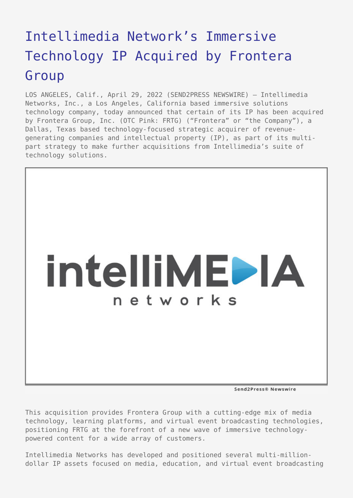# [Intellimedia Network's Immersive](https://www.send2press.com/wire/intellimedia-networks-immersive-technology-ip-acquired-by-frontera-group/) [Technology IP Acquired by Frontera](https://www.send2press.com/wire/intellimedia-networks-immersive-technology-ip-acquired-by-frontera-group/) [Group](https://www.send2press.com/wire/intellimedia-networks-immersive-technology-ip-acquired-by-frontera-group/)

LOS ANGELES, Calif., April 29, 2022 (SEND2PRESS NEWSWIRE) — Intellimedia Networks, Inc., a Los Angeles, California based immersive solutions technology company, today announced that certain of its IP has been acquired by Frontera Group, Inc. (OTC Pink: FRTG) ("Frontera" or "the Company"), a Dallas, Texas based technology-focused strategic acquirer of revenuegenerating companies and intellectual property (IP), as part of its multipart strategy to make further acquisitions from Intellimedia's suite of technology solutions.



Send2Press® Newswire

This acquisition provides Frontera Group with a cutting-edge mix of media technology, learning platforms, and virtual event broadcasting technologies, positioning FRTG at the forefront of a new wave of immersive technologypowered content for a wide array of customers.

Intellimedia Networks has developed and positioned several multi-milliondollar IP assets focused on media, education, and virtual event broadcasting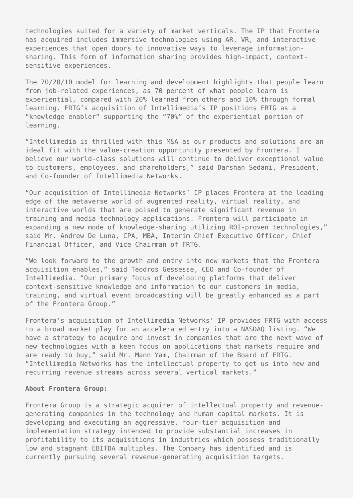technologies suited for a variety of market verticals. The IP that Frontera has acquired includes immersive technologies using AR, VR, and interactive experiences that open doors to innovative ways to leverage informationsharing. This form of information sharing provides high-impact, contextsensitive experiences.

The 70/20/10 model for learning and development highlights that people learn from job-related experiences, as 70 percent of what people learn is experiential, compared with 20% learned from others and 10% through formal learning. FRTG's acquisition of Intellimedia's IP positions FRTG as a "knowledge enabler" supporting the "70%" of the experiential portion of learning.

"Intellimedia is thrilled with this M&A as our products and solutions are an ideal fit with the value-creation opportunity presented by Frontera. I believe our world-class solutions will continue to deliver exceptional value to customers, employees, and shareholders," said Darshan Sedani, President, and Co-founder of Intellimedia Networks.

"Our acquisition of Intellimedia Networks' IP places Frontera at the leading edge of the metaverse world of augmented reality, virtual reality, and interactive worlds that are poised to generate significant revenue in training and media technology applications. Frontera will participate in expanding a new mode of knowledge-sharing utilizing ROI-proven technologies," said Mr. Andrew De Luna, CPA, MBA, Interim Chief Executive Officer, Chief Financial Officer, and Vice Chairman of FRTG.

"We look forward to the growth and entry into new markets that the Frontera acquisition enables," said Teodros Gessesse, CEO and Co-founder of Intellimedia. "Our primary focus of developing platforms that deliver context-sensitive knowledge and information to our customers in media, training, and virtual event broadcasting will be greatly enhanced as a part of the Frontera Group."

Frontera's acquisition of Intellimedia Networks' IP provides FRTG with access to a broad market play for an accelerated entry into a NASDAQ listing. "We have a strategy to acquire and invest in companies that are the next wave of new technologies with a keen focus on applications that markets require and are ready to buy," said Mr. Mann Yam, Chairman of the Board of FRTG. "Intellimedia Networks has the intellectual property to get us into new and recurring revenue streams across several vertical markets."

#### **About Frontera Group:**

Frontera Group is a strategic acquirer of intellectual property and revenuegenerating companies in the technology and human capital markets. It is developing and executing an aggressive, four-tier acquisition and implementation strategy intended to provide substantial increases in profitability to its acquisitions in industries which possess traditionally low and stagnant EBITDA multiples. The Company has identified and is currently pursuing several revenue-generating acquisition targets.